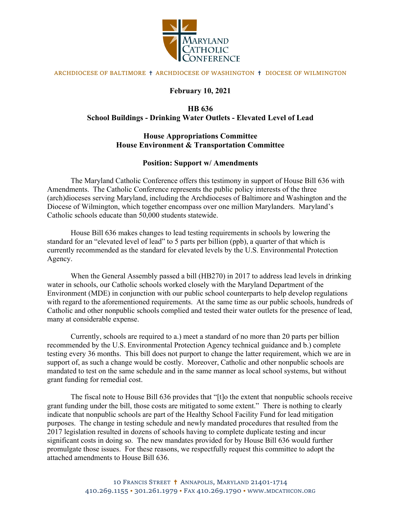

#### ARCHDIOCESE OF BALTIMORE ✝ ARCHDIOCESE OF WASHINGTON ✝ DIOCESE OF WILMINGTON

#### **February 10, 2021**

## **HB 636 School Buildings - Drinking Water Outlets - Elevated Level of Lead**

### **House Appropriations Committee House Environment & Transportation Committee**

#### **Position: Support w/ Amendments**

The Maryland Catholic Conference offers this testimony in support of House Bill 636 with Amendments. The Catholic Conference represents the public policy interests of the three (arch)dioceses serving Maryland, including the Archdioceses of Baltimore and Washington and the Diocese of Wilmington, which together encompass over one million Marylanders. Maryland's Catholic schools educate than 50,000 students statewide.

House Bill 636 makes changes to lead testing requirements in schools by lowering the standard for an "elevated level of lead" to 5 parts per billion (ppb), a quarter of that which is currently recommended as the standard for elevated levels by the U.S. Environmental Protection Agency.

When the General Assembly passed a bill (HB270) in 2017 to address lead levels in drinking water in schools, our Catholic schools worked closely with the Maryland Department of the Environment (MDE) in conjunction with our public school counterparts to help develop regulations with regard to the aforementioned requirements. At the same time as our public schools, hundreds of Catholic and other nonpublic schools complied and tested their water outlets for the presence of lead, many at considerable expense.

Currently, schools are required to a.) meet a standard of no more than 20 parts per billion recommended by the U.S. Environmental Protection Agency technical guidance and b.) complete testing every 36 months. This bill does not purport to change the latter requirement, which we are in support of, as such a change would be costly. Moreover, Catholic and other nonpublic schools are mandated to test on the same schedule and in the same manner as local school systems, but without grant funding for remedial cost.

The fiscal note to House Bill 636 provides that "[t]o the extent that nonpublic schools receive grant funding under the bill, those costs are mitigated to some extent." There is nothing to clearly indicate that nonpublic schools are part of the Healthy School Facility Fund for lead mitigation purposes. The change in testing schedule and newly mandated procedures that resulted from the 2017 legislation resulted in dozens of schools having to complete duplicate testing and incur significant costs in doing so. The new mandates provided for by House Bill 636 would further promulgate those issues. For these reasons, we respectfully request this committee to adopt the attached amendments to House Bill 636.